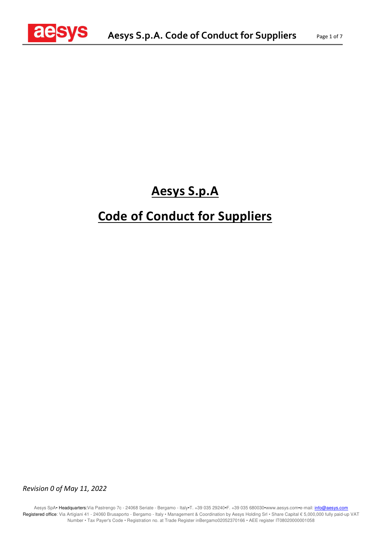

## **Aesys S.p.A**

# **Code of Conduct for Suppliers**

*Revision 0 of May 11, 2022*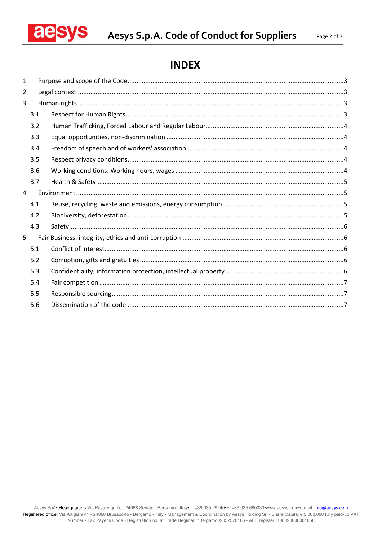

## **INDEX**

| 1 |     |  |
|---|-----|--|
| 2 |     |  |
| 3 |     |  |
|   | 3.1 |  |
|   | 3.2 |  |
|   | 3.3 |  |
|   | 3.4 |  |
|   | 3.5 |  |
|   | 3.6 |  |
|   | 3.7 |  |
| 4 |     |  |
|   | 4.1 |  |
|   | 4.2 |  |
|   | 4.3 |  |
| 5 |     |  |
|   | 5.1 |  |
|   | 5.2 |  |
|   | 5.3 |  |
|   | 5.4 |  |
|   | 5.5 |  |
|   | 5.6 |  |
|   |     |  |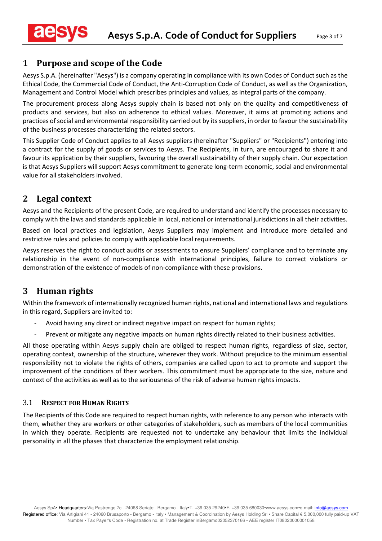## **1 Purpose and scope of the Code**

Aesys S.p.A. (hereinafter "Aesys") is a company operating in compliance with its own Codes of Conduct such as the Ethical Code, the Commercial Code of Conduct, the Anti-Corruption Code of Conduct, as well as the Organization, Management and Control Model which prescribes principles and values, as integral parts of the company.

The procurement process along Aesys supply chain is based not only on the quality and competitiveness of products and services, but also on adherence to ethical values. Moreover, it aims at promoting actions and practices of social and environmental responsibility carried out by its suppliers, in order to favour the sustainability of the business processes characterizing the related sectors.

This Supplier Code of Conduct applies to all Aesys suppliers (hereinafter "Suppliers" or "Recipients") entering into a contract for the supply of goods or services to Aesys. The Recipients, in turn, are encouraged to share it and favour its application by their suppliers, favouring the overall sustainability of their supply chain. Our expectation is that Aesys Suppliers will support Aesys commitment to generate long-term economic, social and environmental value for all stakeholders involved.

## **2 Legal context**

Aesys and the Recipients of the present Code, are required to understand and identify the processes necessary to comply with the laws and standards applicable in local, national or international jurisdictions in all their activities.

Based on local practices and legislation, Aesys Suppliers may implement and introduce more detailed and restrictive rules and policies to comply with applicable local requirements.

Aesys reserves the right to conduct audits or assessments to ensure Suppliers' compliance and to terminate any relationship in the event of non-compliance with international principles, failure to correct violations or demonstration of the existence of models of non-compliance with these provisions.

## **3 Human rights**

Within the framework of internationally recognized human rights, national and international laws and regulations in this regard, Suppliers are invited to:

- Avoid having any direct or indirect negative impact on respect for human rights;
- Prevent or mitigate any negative impacts on human rights directly related to their business activities.

All those operating within Aesys supply chain are obliged to respect human rights, regardless of size, sector, operating context, ownership of the structure, wherever they work. Without prejudice to the minimum essential responsibility not to violate the rights of others, companies are called upon to act to promote and support the improvement of the conditions of their workers. This commitment must be appropriate to the size, nature and context of the activities as well as to the seriousness of the risk of adverse human rights impacts.

## 3.1 **RESPECT FOR HUMAN RIGHTS**

The Recipients of this Code are required to respect human rights, with reference to any person who interacts with them, whether they are workers or other categories of stakeholders, such as members of the local communities in which they operate. Recipients are requested not to undertake any behaviour that limits the individual personality in all the phases that characterize the employment relationship.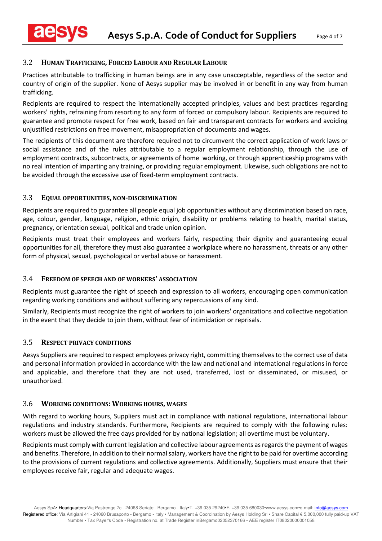## 3.2 **HUMAN TRAFFICKING, FORCED LABOUR AND REGULAR LABOUR**

Practices attributable to trafficking in human beings are in any case unacceptable, regardless of the sector and country of origin of the supplier. None of Aesys supplier may be involved in or benefit in any way from human trafficking.

Recipients are required to respect the internationally accepted principles, values and best practices regarding workers' rights, refraining from resorting to any form of forced or compulsory labour. Recipients are required to guarantee and promote respect for free work, based on fair and transparent contracts for workers and avoiding unjustified restrictions on free movement, misappropriation of documents and wages.

The recipients of this document are therefore required not to circumvent the correct application of work laws or social assistance and of the rules attributable to a regular employment relationship, through the use of employment contracts, subcontracts, or agreements of home working, or through apprenticeship programs with no real intention of imparting any training, or providing regular employment. Likewise, such obligations are not to be avoided through the excessive use of fixed-term employment contracts.

## 3.3 **EQUAL OPPORTUNITIES, NON-DISCRIMINATION**

Recipients are required to guarantee all people equal job opportunities without any discrimination based on race, age, colour, gender, language, religion, ethnic origin, disability or problems relating to health, marital status, pregnancy, orientation sexual, political and trade union opinion.

Recipients must treat their employees and workers fairly, respecting their dignity and guaranteeing equal opportunities for all, therefore they must also guarantee a workplace where no harassment, threats or any other form of physical, sexual, psychological or verbal abuse or harassment.

## 3.4 **FREEDOM OF SPEECH AND OF WORKERS' ASSOCIATION**

Recipients must guarantee the right of speech and expression to all workers, encouraging open communication regarding working conditions and without suffering any repercussions of any kind.

Similarly, Recipients must recognize the right of workers to join workers' organizations and collective negotiation in the event that they decide to join them, without fear of intimidation or reprisals.

## 3.5 **RESPECT PRIVACY CONDITIONS**

Aesys Suppliers are required to respect employees privacy right, committing themselves to the correct use of data and personal information provided in accordance with the law and national and international regulations in force and applicable, and therefore that they are not used, transferred, lost or disseminated, or misused, or unauthorized.

#### 3.6 **WORKING CONDITIONS: WORKING HOURS, WAGES**

With regard to working hours, Suppliers must act in compliance with national regulations, international labour regulations and industry standards. Furthermore, Recipients are required to comply with the following rules: workers must be allowed the free days provided for by national legislation; all overtime must be voluntary.

Recipients must comply with current legislation and collective labour agreements as regards the payment of wages and benefits. Therefore, in addition to their normal salary, workers have the right to be paid for overtime according to the provisions of current regulations and collective agreements. Additionally, Suppliers must ensure that their employees receive fair, regular and adequate wages.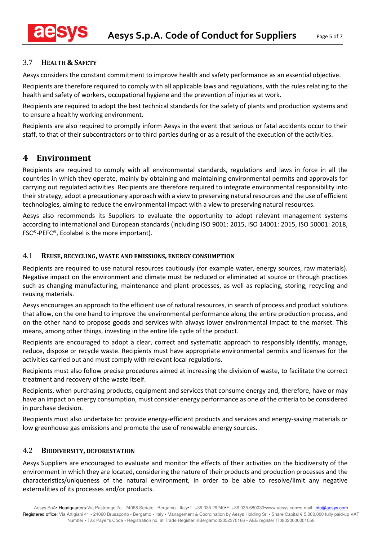## 3.7 **HEALTH & SAFETY**

Aesys considers the constant commitment to improve health and safety performance as an essential objective.

Recipients are therefore required to comply with all applicable laws and regulations, with the rules relating to the health and safety of workers, occupational hygiene and the prevention of injuries at work.

Recipients are required to adopt the best technical standards for the safety of plants and production systems and to ensure a healthy working environment.

Recipients are also required to promptly inform Aesys in the event that serious or fatal accidents occur to their staff, to that of their subcontractors or to third parties during or as a result of the execution of the activities.

## **4 Environment**

Recipients are required to comply with all environmental standards, regulations and laws in force in all the countries in which they operate, mainly by obtaining and maintaining environmental permits and approvals for carrying out regulated activities. Recipients are therefore required to integrate environmental responsibility into their strategy, adopt a precautionary approach with a view to preserving natural resources and the use of efficient technologies, aiming to reduce the environmental impact with a view to preserving natural resources.

Aesys also recommends its Suppliers to evaluate the opportunity to adopt relevant management systems according to international and European standards (including ISO 9001: 2015, ISO 14001: 2015, ISO 50001: 2018, FSC®-PEFC®, Ecolabel is the more important).

## 4.1 **REUSE, RECYCLING, WASTE AND EMISSIONS, ENERGY CONSUMPTION**

Recipients are required to use natural resources cautiously (for example water, energy sources, raw materials). Negative impact on the environment and climate must be reduced or eliminated at source or through practices such as changing manufacturing, maintenance and plant processes, as well as replacing, storing, recycling and reusing materials.

Aesys encourages an approach to the efficient use of natural resources, in search of process and product solutions that allow, on the one hand to improve the environmental performance along the entire production process, and on the other hand to propose goods and services with always lower environmental impact to the market. This means, among other things, investing in the entire life cycle of the product.

Recipients are encouraged to adopt a clear, correct and systematic approach to responsibly identify, manage, reduce, dispose or recycle waste. Recipients must have appropriate environmental permits and licenses for the activities carried out and must comply with relevant local regulations.

Recipients must also follow precise procedures aimed at increasing the division of waste, to facilitate the correct treatment and recovery of the waste itself.

Recipients, when purchasing products, equipment and services that consume energy and, therefore, have or may have an impact on energy consumption, must consider energy performance as one of the criteria to be considered in purchase decision.

Recipients must also undertake to: provide energy-efficient products and services and energy-saving materials or low greenhouse gas emissions and promote the use of renewable energy sources.

## 4.2 **BIODIVERSITY, DEFORESTATION**

Aesys Suppliers are encouraged to evaluate and monitor the effects of their activities on the biodiversity of the environment in which they are located, considering the nature of their products and production processes and the characteristics/uniqueness of the natural environment, in order to be able to resolve/limit any negative externalities of its processes and/or products.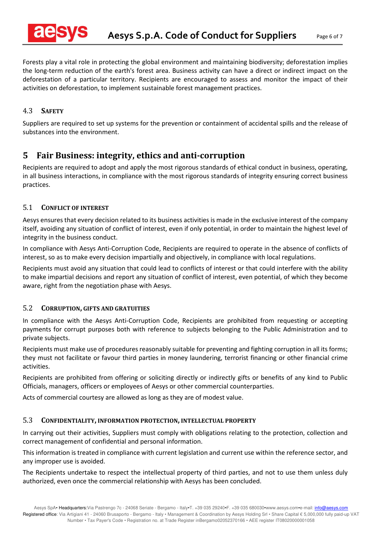Forests play a vital role in protecting the global environment and maintaining biodiversity; deforestation implies the long-term reduction of the earth's forest area. Business activity can have a direct or indirect impact on the deforestation of a particular territory. Recipients are encouraged to assess and monitor the impact of their activities on deforestation, to implement sustainable forest management practices.

## 4.3 **SAFETY**

Suppliers are required to set up systems for the prevention or containment of accidental spills and the release of substances into the environment.

## **5 Fair Business: integrity, ethics and anti-corruption**

Recipients are required to adopt and apply the most rigorous standards of ethical conduct in business, operating, in all business interactions, in compliance with the most rigorous standards of integrity ensuring correct business practices.

## 5.1 **CONFLICT OF INTEREST**

Aesys ensures that every decision related to its business activities is made in the exclusive interest of the company itself, avoiding any situation of conflict of interest, even if only potential, in order to maintain the highest level of integrity in the business conduct.

In compliance with Aesys Anti-Corruption Code, Recipients are required to operate in the absence of conflicts of interest, so as to make every decision impartially and objectively, in compliance with local regulations.

Recipients must avoid any situation that could lead to conflicts of interest or that could interfere with the ability to make impartial decisions and report any situation of conflict of interest, even potential, of which they become aware, right from the negotiation phase with Aesys.

#### 5.2 **CORRUPTION, GIFTS AND GRATUITIES**

In compliance with the Aesys Anti-Corruption Code, Recipients are prohibited from requesting or accepting payments for corrupt purposes both with reference to subjects belonging to the Public Administration and to private subjects.

Recipients must make use of procedures reasonably suitable for preventing and fighting corruption in all its forms; they must not facilitate or favour third parties in money laundering, terrorist financing or other financial crime activities.

Recipients are prohibited from offering or soliciting directly or indirectly gifts or benefits of any kind to Public Officials, managers, officers or employees of Aesys or other commercial counterparties.

Acts of commercial courtesy are allowed as long as they are of modest value.

#### 5.3 **CONFIDENTIALITY, INFORMATION PROTECTION, INTELLECTUAL PROPERTY**

In carrying out their activities, Suppliers must comply with obligations relating to the protection, collection and correct management of confidential and personal information.

This information is treated in compliance with current legislation and current use within the reference sector, and any improper use is avoided.

The Recipients undertake to respect the intellectual property of third parties, and not to use them unless duly authorized, even once the commercial relationship with Aesys has been concluded.